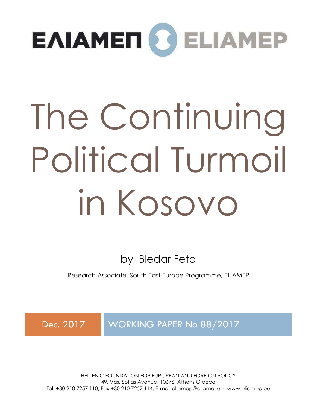

# The Continuing Political Turmoil in Kosovo

by Bledar Feta

Research Associate, South East Europe Programme, ELIAMEP

Dec. 2017 WORKING PAPER No 88/2017

HELLENIC FOUNDATION FOR EUROPEAN AND FOREIGN POLICY 49, Vas. Sofias Avenue, 10676, Athens Greece Tel. +30 210 7257 110, Fax +30 210 7257 114, E-mail eliamep@eliamep.gr, www.eliamep.eu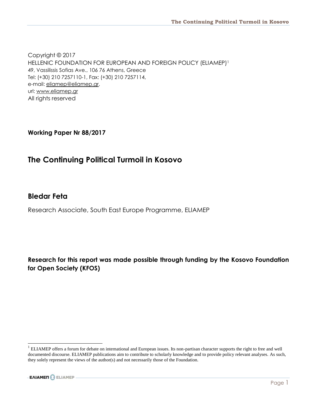Copyright © 2017 HELLENIC FOUNDATION FOR EUROPEAN AND FOREIGN POLICY (ELIAMEP)<sup>1</sup> 49, Vassilissis Sofias Ave., 106 76 Athens, Greece Τel: (+30) 210 7257110-1, Fax: (+30) 210 7257114, e-mail: [eliamep@eliamep.gr,](mailto:eliamep@eliamep.gr) url: [www.eliamep.gr](http://www.eliamep.gr/) All rights reserved

**Working Paper Nr 88/2017**

#### **The Continuing Political Turmoil in Kosovo**

#### **Bledar Feta**

Research Associate, South East Europe Programme, ELIAMEP

**Research for this report was made possible through funding by the Kosovo Foundation for Open Society (KFOS)**

<sup>1</sup> ELIAMEP offers a forum for debate on international and European issues. Its non-partisan character supports the right to free and well documented discourse. ELIAMEP publications aim to contribute to scholarly knowledge and to provide policy relevant analyses. As such, they solely represent the views of the author(s) and not necessarily those of the Foundation.

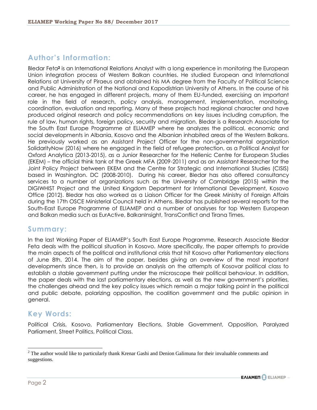#### **Author's Information:**

Bledar Feta**<sup>2</sup>** is an International Relations Analyst with a long experience in monitoring the European Union integration process of Western Balkan countries. He studied European and International Relations at University of Piraeus and obtained his MA degree from the Faculty of Political Science and Public Administration of the National and Kapodistrian University of Athens. In the course of his career, he has engaged in different projects, many of them EU-funded, exercising an important role in the field of research, policy analysis, management, implementation, monitoring, coordination, evaluation and reporting. Many of these projects had regional character and have produced original research and policy recommendations on key issues including corruption, the rule of law, human rights, foreign policy, security and migration. Bledar is a Research Associate for the South East Europe Programme at ELIAMEP where he analyzes the political, economic and social developments in Albania, Kosovo and the Albanian inhabited areas of the Western Balkans. He previously worked as an Assistant Project Officer for the non-governmental organization SolidarityNow (2016) where he engaged in the field of refugee protection, as a Political Analyst for Oxford Analytica (2013-2015), as a Junior Researcher for the Hellenic Centre for European Studies (EKEM) – the official think tank of the Greek MFA (2009-2011) and as an Assistant Researcher for the Joint Policy Project between EKEM and the Centre for Strategic and International Studies (CISIS) based in Washington. DC (2008-2010). During his career, Bledar has also offered consultancy services to a number of organizations such as the University of Cambridge (2015) within the DIGIWHIST Project and the United Kingdom Department for International Development, Kosovo Office (2012). Bledar has also worked as a Liaison Officer for the Greek Ministry of Foreign Affairs during the 17th OSCE Ministerial Council held in Athens. Bledar has published several reports for the South-East Europe Programme of ELIAMEP and a number of analyses for top Western European and Balkan media such as EurActive, BalkanInsight, TransConflict and Tirana Times.

#### **Summary:**

In the last Working Paper of ELIAMEP's South East Europe Programme, Research Associate Bledar Feta deals with the political situation in Kosovo. More specifically, the paper attempts to provide the main aspects of the political and institutional crisis that hit Kosovo after Parliamentary elections of June 8th, 2014. The aim of the paper, besides giving an overview of the most important developments since then, is to provide an analysis on the attempts of Kosovar political class to establish a stable government putting under the microscope their political behaviour. In addition, the paper deals with the last parliamentary elections, as well as the new government's priorities, the challenges ahead and the key policy issues which remain a major talking point in the political and public debate, polarizing opposition, the coalition government and the public opinion in general.

#### **Key Words:**

Political Crisis, Kosovo, Parliamentary Elections, Stable Government, Opposition, Paralyzed Parliament, Street Politics, Political Class.

 $2$  The author would like to particularly thank Krenar Gashi and Denion Galimuna for their invaluable comments and suggestions.

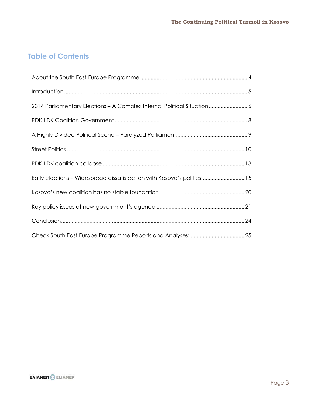### **Table of Contents**

| 2014 Parliamentary Elections - A Complex Internal Political Situation 6 |
|-------------------------------------------------------------------------|
|                                                                         |
|                                                                         |
|                                                                         |
|                                                                         |
| Early elections - Widespread dissatisfaction with Kosovo's politics 15  |
|                                                                         |
|                                                                         |
|                                                                         |
|                                                                         |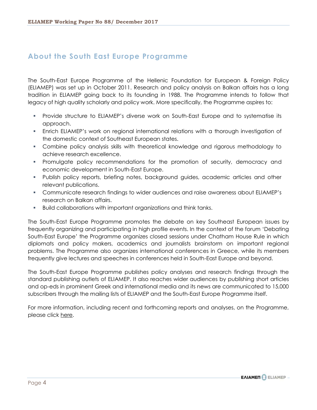#### <span id="page-4-0"></span>**About the South East Europe Programme**

The South-East Europe Programme of the Hellenic Foundation for European & Foreign Policy (ELIAMEP) was set up in October 2011. Research and policy analysis on Balkan affairs has a long tradition in ELIAMEP going back to its founding in 1988. The Programme intends to follow that legacy of high quality scholarly and policy work. More specifically, the Programme aspires to:

- Provide structure to ELIAMEP's diverse work on South-East Europe and to systematise its approach.
- Enrich ELIAMEP's work on regional international relations with a thorough investigation of the domestic context of Southeast European states.
- Combine policy analysis skills with theoretical knowledge and rigorous methodology to achieve research excellence.
- Promulgate policy recommendations for the promotion of security, democracy and economic development in South-East Europe.
- Publish policy reports, briefing notes, background guides, academic articles and other relevant publications.
- Communicate research findings to wider audiences and raise awareness about ELIAMEP's research on Balkan affairs.
- Build collaborations with important organizations and think tanks.

The South-East Europe Programme promotes the debate on key Southeast European issues by frequently organizing and participating in high profile events. In the context of the forum 'Debating South-East Europe' the Programme organizes closed sessions under Chatham House Rule in which diplomats and policy makers, academics and journalists brainstorm on important regional problems. The Programme also organizes international conferences in Greece, while its members frequently give lectures and speeches in conferences held in South-East Europe and beyond.

The South-East Europe Programme publishes policy analyses and research findings through the standard publishing outlets of ELIAMEP. It also reaches wider audiences by publishing short articles and op-eds in prominent Greek and international media and its news are communicated to 15,000 subscribers through the mailing lists of ELIAMEP and the South-East Europe Programme itself.

For more information, including recent and forthcoming reports and analyses, on the Programme, please click [here.](http://www.eliamep.gr/en/descriptions/project-descriptions/%CF%80%CF%81%CF%8C%CE%B3%CF%81%CE%B1%CE%BC%CE%BC%CE%B1-%CE%BD%CE%BF%CF%84%CE%B9%CE%BF%CE%B1%CE%BD%CE%B1%CF%84%CE%BF%CE%BB%CE%B9%CE%BA%CE%AE%CF%82-%CE%B5%CF%85%CF%81%CF%8E%CF%80%CE%B7%CF%82/)

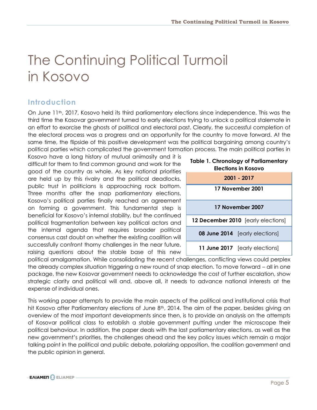# The Continuing Political Turmoil in Kosovo

### <span id="page-5-0"></span>**Introduction**

On June 11<sup>th</sup>, 2017, Kosovo held its third parliamentary elections since independence. This was the third time the Kosovar government turned to early elections trying to unlock a political stalemate in an effort to exorcise the ghosts of political and electoral past. Clearly, the successful completion of the electoral process was a progress and an opportunity for the country to move forward. At the same time, the flipside of this positive development was the political bargaining among country's political parties which complicated the government formation process. The main political parties in

Kosovo have a long history of mutual animosity and it is difficult for them to find common ground and work for the good of the country as whole. As key national priorities are held up by this rivalry and the political deadlocks, public trust in politicians is approaching rock bottom. Three months after the snap parliamentary elections, Kosovo's political parties finally reached an agreement on forming a government. This fundamental step is beneficial for Kosovo's internal stability, but the continued political fragmentation between key political actors and the internal agenda that requires broader political consensus cast doubt on whether the existing coalition will successfully confront thorny challenges in the near future, raising questions about the stable base of this new



**Table 1. Chronology of Parliamentary** 

political amalgamation. While consolidating the recent challenges, conflicting views could perplex the already complex situation triggering a new round of snap election. To move forward – all in one package, the new Kosovar government needs to acknowledge the cost of further escalation, show strategic clarity and political will and, above all, it needs to advance national interests at the expense of individual ones.

This working paper attempts to provide the main aspects of the political and institutional crisis that hit Kosovo after Parliamentary elections of June 8<sup>th</sup>, 2014. The aim of the paper, besides giving an overview of the most important developments since then, is to provide an analysis on the attempts of Kosovar political class to establish a stable government putting under the microscope their political behaviour. In addition, the paper deals with the last parliamentary elections, as well as the new government's priorities, the challenges ahead and the key policy issues which remain a major talking point in the political and public debate, polarizing opposition, the coalition government and the public opinion in general.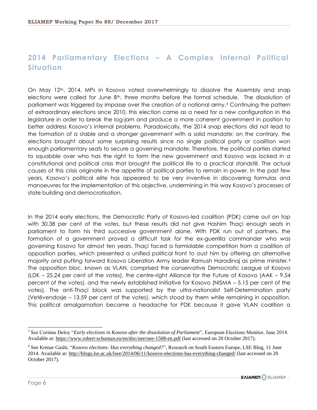## <span id="page-6-0"></span>**2014 Parliamentary Elections – A Complex Internal Political Situation**

On May 12th, 2014, MPs in Kosovo voted overwhelmingly to dissolve the Assembly and snap elections were called for June  $8<sup>th</sup>$ , three months before the formal schedule. The dissolution of parliament was triggered by impasse over the creation of a national army.<sup>3</sup> Continuing the pattern of extraordinary elections since 2010, this election came as a need for a new configuration in the legislature in order to break the log-jam and produce a more coherent government in position to better address Kosovo's internal problems. Paradoxically, the 2014 snap elections did not lead to the formation of a stable and a stronger government with a solid mandate; on the contrary, the elections brought about some surprising results since no single political party or coalition won enough parliamentary seats to secure a governing mandate. Therefore, the political parties started to squabble over who has the right to form the new government and Kosovo was locked in a constitutional and political crisis that brought the political life to a practical standstill. The actual causes of this crisis originate in the appetite of political parties to remain in power. In the past few years, Kosovo's political elite has appeared to be very inventive in discovering formulas and manoeuvres for the implementation of this objective, undermining in this way Kosovo's processes of state building and democratisation.

In the 2014 early elections, the Democratic Party of Kosovo-led coalition (PDK) came out on top with 30.38 per cent of the votes, but these results did not give Hashim Thaçi enough seats in parliament to form his third successive government alone. With PDK run out of partners, the formation of a government proved a difficult task for the ex-guerrilla commander who was governing Kosovo for almost ten years. Thaçi faced a formidable competition from a coalition of opposition parties, which presented a unified political front to oust him by offering an alternative majority and putting forward Kosovo Liberation Army leader Ramush Haradinaj as prime minister.<sup>4</sup> The opposition bloc, known as VLAN, comprised the conservative Democratic League of Kosovo (LDK – 25.24 per cent of the votes), the centre-right Alliance for the Future of Kosovo (AAK – 9.54 percent of the votes), and the newly established Initiative for Kosovo (NISMA – 5.15 per cent of the votes). The anti-Thaçi block was supported by the ultra-nationalist Self-Determination party (Vetëvendosje – 13.59 per cent of the votes), which stood by them while remaining in opposition. This political amalgamation became a headache for PDK because it gave VLAN coalition a

<sup>&</sup>lt;sup>3</sup> See Corinne Deloy "*Early elections in Kosovo after the dissolution of Parliament*", European Elections Monitor, June 2014. Available at[: https://www.robert-schuman.eu/en/doc/oee/oee-1508-en.pdf](https://www.robert-schuman.eu/en/doc/oee/oee-1508-en.pdf) (last accessed on 20 October 2017).

<sup>4</sup> See Krenar Gashi, "*Kosovo elections: Has everything changed?*", Research on South Eastern Europe, LSE Blog, 11 June 2014. Available at[: http://blogs.lse.ac.uk/lsee/2014/06/11/kosovo-elections-has-everything-changed/](http://blogs.lse.ac.uk/lsee/2014/06/11/kosovo-elections-has-everything-changed/) (last accessed on 20 October 2017).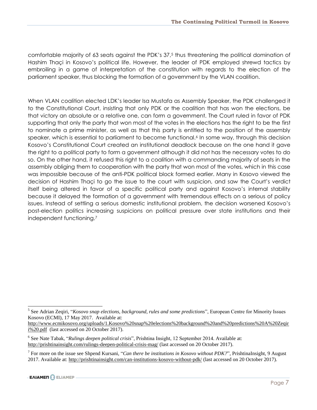comfortable majority of 63 seats against the PDK's 37,<sup>5</sup> thus threatening the political domination of Hashim Thaçi in Kosovo's political life. However, the leader of PDK employed shrewd tactics by embroiling in a game of interpretation of the constitution with regards to the election of the parliament speaker, thus blocking the formation of a government by the VLAN coalition.

When VLAN coalition elected LDK's leader Isa Mustafa as Assembly Speaker, the PDK challenged it to the Constitutional Court, insisting that only PDK or the coalition that has won the elections, be that victory an absolute or a relative one, can form a government. The Court ruled in favor of PDK supporting that only the party that won most of the votes in the elections has the right to be the first to nominate a prime minister, as well as that this party is entitled to the position of the assembly speaker, which is essential to parliament to become functional.<sup>6</sup> In some way, through this decision Kosovo's Constitutional Court created an institutional deadlock because on the one hand it gave the right to a political party to form a government although it did not has the necessary votes to do so. On the other hand, it refused this right to a coalition with a commanding majority of seats in the assembly obliging them to cooperation with the party that won most of the votes, which in this case was impossible because of the anti-PDK political block formed earlier. Many in Kosovo viewed the decision of Hashim Thaçi to go the issue to the court with suspicion, and saw the Court's verdict itself being altered in favor of a specific political party and against Kosovo's internal stability because it delayed the formation of a government with tremendous effects on a serious of policy issues. Instead of settling a serious domestic institutional problem, the decision worsened Kosovo's post-election politics increasing suspicions on political pressure over state institutions and their independent functioning.<sup>7</sup>

<sup>5</sup> See Adrian Zeqiri, "*Kosovo snap elections, background, rules and some predictions*", European Centre for Minority Issues Kosovo (ECMI), 17 May 2017. Available at:

[http://www.ecmikosovo.org/uploads/1.Kosovo%20snap%20elections%20background%20and%20predictions%20A%20Zeqir](http://www.ecmikosovo.org/uploads/1.Kosovo%20snap%20elections%20background%20and%20predictions%20A%20Zeqiri%20.pdf) [i%20.pdf](http://www.ecmikosovo.org/uploads/1.Kosovo%20snap%20elections%20background%20and%20predictions%20A%20Zeqiri%20.pdf) (last accessed on 20 October 2017).

<sup>6</sup> See Nate Tabak, "*Rulings deepen political crisis*", Prishtina Insight, 12 September 2014. Available at: <http://prishtinainsight.com/rulings-deepen-political-crisis-mag/> (last accessed on 20 October 2017).

<sup>7</sup> For more on the issue see Shpend Kursani, "*Can there be institutions in Kosovo without PDK?*", PrishtinaInsight, 9 August 2017. Available at[: http://prishtinainsight.com/can-institutions-kosovo-without-pdk/](http://prishtinainsight.com/can-institutions-kosovo-without-pdk/) (last accessed on 20 October 2017).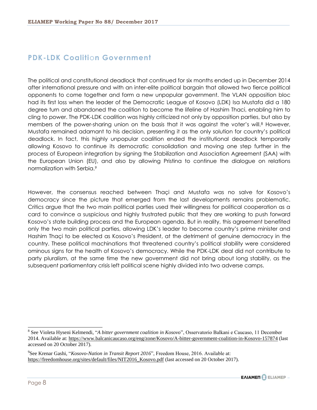#### <span id="page-8-0"></span>**PDK-LDK Coaliti**o**n Government**

The political and constitutional deadlock that continued for six months ended up in December 2014 after international pressure and with an inter-elite political bargain that allowed two fierce political opponents to come together and form a new unpopular government. The VLAN opposition bloc had its first loss when the leader of the Democratic League of Kosovo (LDK) Isa Mustafa did a 180 degree turn and abandoned the coalition to become the lifeline of Hashim Thaci, enabling him to cling to power. The PDK-LDK coalition was highly criticized not only by opposition parties, but also by members of the power-sharing union on the basis that it was against the voter's will.<sup>8</sup> However, Mustafa remained adamant to his decision, presenting it as the only solution for country's political deadlock. In fact, this highly unpopular coalition ended the institutional deadlock temporarily allowing Kosovo to continue its democratic consolidation and moving one step further in the process of European integration by signing the Stabilization and Association Agreement (SAA) with the European Union (EU), and also by allowing Pristina to continue the dialogue on relations normalization with Serbia.<sup>9</sup>

However, the consensus reached between Thaçi and Mustafa was no salve for Kosovo's democracy since the picture that emerged from the last developments remains problematic. Critics argue that the two main political parties used their willingness for political cooperation as a card to convince a suspicious and highly frustrated public that they are working to push forward Kosovo's state building process and the European agenda. But in reality, this agreement benefited only the two main political parties, allowing LDK's leader to become country's prime minister and Hashim Thaçi to be elected as Kosovo's President, at the detriment of genuine democracy in the country. These political machinations that threatened country's political stability were considered ominous signs for the health of Kosovo's democracy. While the PDK-LDK deal did not contribute to party pluralism, at the same time the new government did not bring about long stability, as the subsequent parliamentary crisis left political scene highly divided into two adverse camps.

<sup>9</sup> See Krenar Gashi, "*Kosovo-Nation in Transit Report 2016*", Freedom House, 2016. Available at: [https://freedomhouse.org/sites/default/files/NIT2016\\_Kosovo.pdf](https://freedomhouse.org/sites/default/files/NIT2016_Kosovo.pdf) (last accessed on 20 October 2017).



<sup>8</sup> See Violeta Hyseni Kelmendi, "*A bitter government coalition in Kosovo*", Osservatorio Balkani e Caucaso, 11 December 2014. Available at[: https://www.balcanicaucaso.org/eng/zone/Kosovo/A-bitter-government-coalition-in-Kosovo-157874](https://www.balcanicaucaso.org/eng/zone/Kosovo/A-bitter-government-coalition-in-Kosovo-157874) (last accessed on 20 October 2017).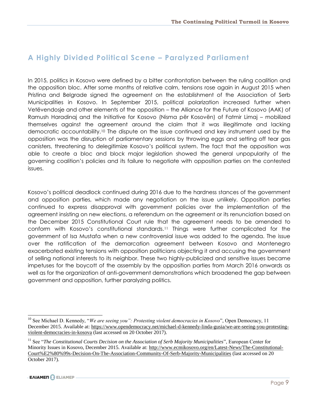#### <span id="page-9-0"></span>**A Highly Divided Political Scene – Paralyzed Parliament**

In 2015, politics in Kosovo were defined by a bitter confrontation between the ruling coalition and the opposition bloc. After some months of relative calm, tensions rose again in August 2015 when Pristina and Belgrade signed the agreement on the establishment of the Association of Serb Municipalities in Kosovo. In September 2015, political polarization increased further when Vetëvendosje and other elements of the opposition – the Alliance for the Future of Kosovo (AAK) of Ramush Haradinaj and the Initiative for Kosovo (Nisma për Kosovën) of Fatmir Limaj – mobilized themselves against the agreement around the claim that it was illegitimate and lacking democratic accountability.<sup>10</sup> The dispute on the issue continued and key instrument used by the opposition was the disruption of parliamentary sessions by throwing eggs and setting off tear gas canisters, threatening to delegitimize Kosovo's political system. The fact that the opposition was able to create a bloc and block major legislation showed the general unpopularity of the governing coalition's policies and its failure to negotiate with opposition parties on the contested issues.

Kosovo's political deadlock continued during 2016 due to the hardness stances of the government and opposition parties, which made any negotiation on the issue unlikely. Opposition parties continued to express disapproval with government policies over the implementation of the agreement insisting on new elections, a referendum on the agreement or its renunciation based on the December 2015 Constitutional Court rule that the agreement needs to be amended to conform with Kosovo's constitutional standards.<sup>11</sup> Things were further complicated for the government of Isa Mustafa when a new controversial issue was added to the agenda. The issue over the ratification of the demarcation agreement between Kosovo and Montenegro exacerbated existing tensions with opposition politicians objecting it and accusing the government of selling national interests to its neighbor. These two highly-publicized and sensitive issues became impetuses for the boycott of the assembly by the opposition parties from March 2016 onwards as well as for the organization of anti-government demonstrations which broadened the gap between government and opposition, further paralyzing politics.

<span id="page-9-1"></span><sup>10</sup> See Michael D. Kennedy, "*We are seeing you": Protesting violent democracies in Kosovo*", Open Democracy, 11 December 2015. Available at: [https://www.opendemocracy.net/michael-d-kennedy-linda-gusia/we-are-seeing-you-protesting](https://www.opendemocracy.net/michael-d-kennedy-linda-gusia/we-are-seeing-you-protesting-violent-democracies-in-kosova)[violent-democracies-in-kosova](https://www.opendemocracy.net/michael-d-kennedy-linda-gusia/we-are-seeing-you-protesting-violent-democracies-in-kosova) (last accessed on 20 October 2017).

<sup>&</sup>lt;sup>11</sup> See "*The Constitutional Courts Decision on the Association of Serb Majority Municipalities*", European Center for Minority Issues in Kosovo, December 2015. Available at: [http://www.ecmikosovo.org/en/Latest-News/The-Constitutional-](http://www.ecmikosovo.org/en/Latest-News/The-Constitutional-Court%E2%80%99s-Decision-On-The-Association-Community-Of-Serb-Majority-Municipalities)[Court%E2%80%99s-Decision-On-The-Association-Community-Of-Serb-Majority-Municipalities](http://www.ecmikosovo.org/en/Latest-News/The-Constitutional-Court%E2%80%99s-Decision-On-The-Association-Community-Of-Serb-Majority-Municipalities) (last accessed on 20 October 2017).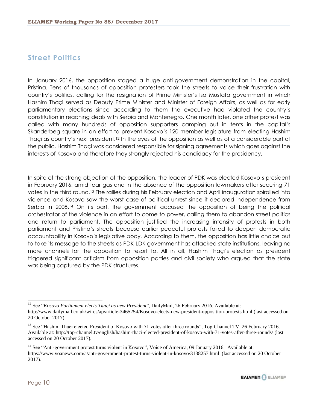#### **Street Politics**

In January 2016, the opposition staged a huge anti-government demonstration in the capital, Pristina. Tens of thousands of opposition protesters took the streets to voice their frustration with country's politics, calling for the resignation of Prime Minister's Isa Mustafa government in which Hashim Thaçi served as Deputy Prime Minister and Minister of Foreign Affairs, as well as for early parliamentary elections since according to them the executive had violated the country's constitution in reaching deals with Serbia and Montenegro. One month later, one other protest was called with many hundreds of opposition supporters camping out in tents in the capital's Skanderbeg square in an effort to prevent Kosovo's 120-member legislature from electing Hashim Thaçi as country's next president.<sup>12</sup> In the eyes of the opposition as well as of a considerable part of the public, Hashim Thaçi was considered responsible for signing agreements which goes against the interests of Kosovo and therefore they strongly rejected his candidacy for the presidency.

In spite of the strong objection of the opposition, the leader of PDK was elected Kosovo's president in February 2016, amid tear gas and in the absence of the opposition lawmakers after securing 71 votes in the third round.<sup>13</sup> The rallies during his February election and April inauguration spiralled into violence and Kosovo saw the worst case of political unrest since it declared independence from Serbia in 2008.<sup>14</sup> On its part, the government accused the opposition of being the political orchestrator of the violence in an effort to come to power, calling them to abandon street politics and return to parliament. The opposition justified the increasing intensity of protests in both parliament and Pristina's streets because earlier peaceful protests failed to deepen democratic accountability in Kosovo's legislative body. According to them, the opposition has little choice but to take its message to the streets as PDK-LDK government has attacked state institutions, leaving no more channels for the opposition to resort to. All in all, Hashim Thaçi's election as president triggered significant criticism from opposition parties and civil society who argued that the state was being captured by the PDK structures.

<sup>&</sup>lt;sup>14</sup> See "Anti-government protest turns violent in Kosovo", Voice of America, 09 January 2016. Available at: <https://www.voanews.com/a/anti-government-protest-turns-violent-in-kosovo/3138257.html>(last accessed on 20 October 2017).



 $\overline{a}$ <sup>12</sup> See "*Kosovo Parliament elects Thaçi as new President*", DailyMail, 26 February 2016. Available at: <http://www.dailymail.co.uk/wires/ap/article-3465254/Kosovo-elects-new-president-opposition-protests.html> (last accessed on 20 October 2017).

<sup>&</sup>lt;sup>13</sup> See "Hashim Thaci elected President of Kosovo with 71 votes after three rounds", Top Channel TV, 26 February 2016. Available at[: http://top-channel.tv/english/hashim-thaci-elected-president-of-kosovo-with-71-votes-after-three-rounds/](http://top-channel.tv/english/hashim-thaci-elected-president-of-kosovo-with-71-votes-after-three-rounds/) (last accessed on 20 October 2017).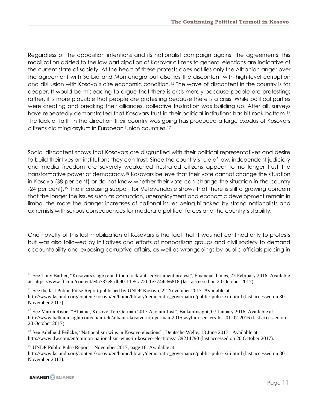Regardless of the opposition intentions and its nationalist campaign against the agreements, this mobilization added to the low participation of Kosovar citizens to general elections are indicative of the current state of society. At the heart of these protests does not lies only the Albanian anger over the agreement with Serbia and Montenegro but also lies the discontent with high-level corruption and disillusion with Kosovo's dire economic condition.<sup>15</sup> The wave of discontent in the country is far deeper. It would be misleading to argue that there is crisis merely because people are protesting; rather, it is more plausible that people are protesting because there is a crisis. While political parties were creating and breaking their alliances, collective frustration was building up. After all, surveys have repeatedly demonstrated that Kosovars trust in their political institutions has hit rock bottom.<sup>16</sup> The lack of faith in the direction their country was going has produced a large exodus of Kosovars citizens claiming asylum in European Union countries.<sup>17</sup>

Social discontent shows that Kosovars are disgruntled with their political representatives and desire to build their lives on institutions they can trust. Since the country's rule of law, independent judiciary and media freedom are severely weakened frustrated citizens appear to no longer trust the transformative power of democracy.<sup>18</sup> Kosovars believe that their vote cannot change the situation in Kosovo (38 per cent) or do not know whether their vote can change the situation in the country (24 per cent).<sup>19</sup> The increasing support for Vetëvendosje shows that there is still a growing concern that the longer the issues such as corruption, unemployment and economic development remain in limbo, the more the danger increases of national issues being hijacked by strong nationalists and extremists with serious consequences for moderate political forces and the country's stability.

One novelty of this last mobilization of Kosovars is the fact that it was not confined only to protests but was also followed by initiatives and efforts of nonpartisan groups and civil society to demand accountability and exposing corruptive affairs, as well as wrongdoings by public officials placing in

<sup>&</sup>lt;sup>15</sup> See Tony Barber, "Kosovars stage round-the-clock-anti-government protest", Financial Times, 22 February 2016. Available at:<https://www.ft.com/content/e4a737e8-db90-11e5-a72f-1e7744c66818> (last accessed on 20 October 2017).

<sup>&</sup>lt;sup>16</sup> See the last Public Pulse Report published by UNDP Kosovo, 22 November 2017. Available at:

[http://www.ks.undp.org/content/kosovo/en/home/library/democratic\\_governance/public-pulse-xiii.html](http://www.ks.undp.org/content/kosovo/en/home/library/democratic_governance/public-pulse-xiii.html) (last accessed on 30 November 2017).

<sup>&</sup>lt;sup>17</sup> See Marija Ristic, "Albania, Kosovo Top German 2015 Asylum List", BalkanInsight, 07 January 2016. Available at: <http://www.balkaninsight.com/en/article/albania-kosovo-top-german-2015-asylum-seekers-list-01-07-2016> (last accessed on 20 October 2017).

<sup>&</sup>lt;sup>18</sup> See Adelheid Feilcke, "Nationalism wins in Kosovo elections", Deutsche Welle, 13 June 2017. Available at: <http://www.dw.com/en/opinion-nationalism-wins-in-kosovo-elections/a-39214790> (last accessed on 20 October 2017).

<sup>&</sup>lt;sup>19</sup> UNDP Public Pulse Report – November 2017, page 16. Available at: [http://www.ks.undp.org/content/kosovo/en/home/library/democratic\\_governance/public-pulse-xiii.html](http://www.ks.undp.org/content/kosovo/en/home/library/democratic_governance/public-pulse-xiii.html) (last accessed on 30 November 2017).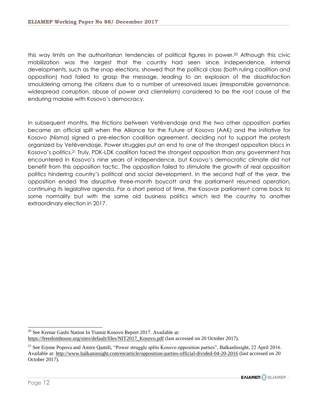this way limits on the authoritarian tendencies of political figures in power.<sup>20</sup> Although this civic mobilization was the largest that the country had seen since independence, internal developments, such as the snap elections, showed that the political class (both ruling coalition and opposition) had failed to grasp the message, leading to an explosion of the dissatisfaction smouldering among the citizens due to a number of unresolved issues (irresponsible governance, widespread corruption, abuse of power and clientelism) considered to be the root cause of the enduring malaise with Kosovo's democracy.

In subsequent months, the frictions between Vetëvendosje and the two other opposition parties became an official split when the Alliance for the Future of Kosovo (AAK) and the Initiative for Kosovo (Nisma) signed a pre-election coalition agreement, deciding not to support the protests organized by Vetëvendosje. Power struggles put an end to one of the strongest opposition blocs in Kosovo's politics.<sup>21</sup> Truly, PDK-LDK coalition faced the strongest opposition than any government has encountered in Kosovo's nine years of independence, but Kosovo's democratic climate did not benefit from this opposition tactic. The opposition failed to stimulate the growth of real opposition politics hindering country's political and social development. In the second half of the year, the opposition ended the disruptive three-month boycott and the parliament resumed operation, continuing its legislative agenda. For a short period of time, the Kosovar parliament came back to some normality but with the same old business politics which led the country to another extraordinary election in 2017.

**EAIAMEN** ELIAMEP -

 $\overline{a}$ <sup>20</sup> See Krenar Gashi Nation In Transit Kosovo Report 2017. Available at: [https://freedomhouse.org/sites/default/files/NIT2017\\_Kosovo.pdf](https://freedomhouse.org/sites/default/files/NIT2017_Kosovo.pdf) (last accessed on 20 October 2017).

<sup>&</sup>lt;sup>21</sup> See Erjone Popova and Amire Qamili, "Power struggle splits Kosovo opposition parties", BalkanInsight, 22 April 2016. Available at[: http://www.balkaninsight.com/en/article/opposition-parties-official-divided-04-20-2016](http://www.balkaninsight.com/en/article/opposition-parties-official-divided-04-20-2016) (last accessed on 20 October 2017).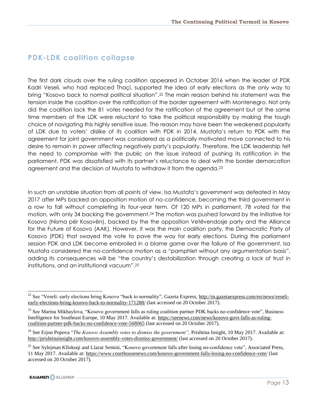#### <span id="page-13-0"></span>**PDK-LDK coalition collapse**

The first dark clouds over the ruling coalition appeared in October 2016 when the leader of PDK Kadri Veseli, who had replaced Thaçi, supported the idea of early elections as the only way to bring "Kosovo back to normal political situation".<sup>22</sup> The main reason behind his statement was the tension inside the coalition over the ratification of the border agreement with Montenegro. Not only did the coalition lack the 81 votes needed for the ratification of the agreement but at the same time members of the LDK were reluctant to take the political responsibility by making the tough choice of navigating this highly sensitive issue. The reason may have been the weakened popularity of LDK due to voters' dislike of its coalition with PDK in 2014. Mustafa's return to PDK with the agreement for joint government was considered as a politically motivated move connected to his desire to remain in power affecting negatively party's popularity. Therefore, the LDK leadership felt the need to compromise with the public on the issue instead of pushing its ratification in the parliament. PDK was dissatisfied with its partner's reluctance to deal with the border demarcation agreement and the decision of Mustafa to withdraw it from the agenda.<sup>23</sup>

In such an unstable situation from all points of view, Isa Mustafa's government was defeated in May 2017 after MPs backed an opposition motion of no-confidence, becoming the third government in a row to fall without completing its four-year term. Of 120 MPs in parliament, 78 voted for the motion, with only 34 backing the government.<sup>24</sup> The motion was pushed forward by the Initiative for Kosovo (Nisma për Kosovën), backed by the the opposition Vetëvendosje party and the Alliance for the Future of Kosovo (AAK). However, it was the main coalition party, the Democratic Party of Kosovo (PDK) that swayed the vote to pave the way for early elections. During the parliament session PDK and LDK become embroiled in a blame game over the failure of the government. Isa Mustafa considered the no-confidence motion as a "pamphlet without any argumentation basis", adding its consequences will be "the country's destabilization through creating a lack of trust in institutions, and an institutional vacuum".<sup>25</sup>

<sup>&</sup>lt;sup>22</sup> See "Veseli: early elections bring Kosovo "back to normality", Gazeta Express,  $\frac{http://m.gazetaexpress.com/en/news/veseli$ [early-elections-bring-kosovo-back-to-normality-171288/](http://m.gazetaexpress.com/en/news/veseli-early-elections-bring-kosovo-back-to-normality-171288/) (last accessed on 20 October 2017).

<sup>&</sup>lt;sup>23</sup> See Marina Mikhaylova, "Kosovo government falls as ruling coalition partner PDK backs no-confidence vote", Business Intelligence for Southeast Europe, 10 May 2017. Available at: [https://seenews.com/news/kosovo-govt-falls-as-ruling](https://seenews.com/news/kosovo-govt-falls-as-ruling-coalition-partner-pdk-backs-no-confidence-vote-568065)[coalition-partner-pdk-backs-no-confidence-vote-568065](https://seenews.com/news/kosovo-govt-falls-as-ruling-coalition-partner-pdk-backs-no-confidence-vote-568065) (last accessed on 20 October 2017).

<sup>&</sup>lt;sup>24</sup> See Erjon Popova "*The Kosovo Assembly votes to dismiss the government*", Prishtina Insight, 10 May 2017. Available at: http://prishtinainsight.com/<u>kosovo-assembly-votes-dismiss-government</u>/ (last accessed on 20 October 2017).

<sup>&</sup>lt;sup>25</sup> See Sylejman Kllokoqi and Llazar Semini, "Kosovo government falls after losing no-confidence vote", Associated Press, 11 May 2017. Available at:<https://www.courthousenews.com/kosovo-government-falls-losing-no-confidence-vote/> (last accessed on 20 October 2017).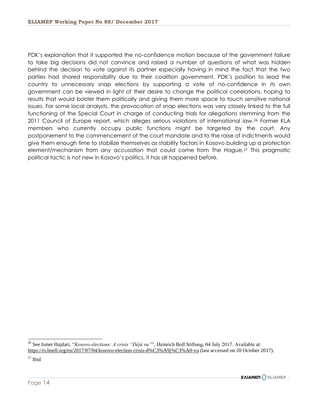PDK's explanation that it supported the no-confidence motion because of the government failure to take big decisions did not convince and raised a number of questions of what was hidden behind the decision to vote against its partner especially having in mind the fact that the two parties had shared responsibility due to their coalition government. PDK's position to lead the country to unnecessary snap elections by supporting a vote of no-confidence in its own government can be viewed in light of their desire to change the political correlations, hoping to results that would bolster them politically and giving them more space to touch sensitive national issues. For some local analysts, the provocation of snap elections was very closely linked to the full functioning of the Special Court in charge of conducting trials for allegations stemming from the 2011 Council of Europe report, which alleges serious violations of international law.<sup>26</sup> Former KLA members who currently occupy public functions might be targeted by the court. Any postponement to the commencement of the court mandate and to the raise of indictments would give them enough time to stabilize themselves as stability factors in Kosovo building up a protection element/mechanism from any accusation that could come from The Hague.<sup>27</sup> This pragmatic political tactic is not new in Kosovo's politics, it has all happened before.

 $27$  Ibid



<sup>26</sup> See Ismet Hajdari, "*Kosovo elections: A crisis "Déjà vu"*", Heinrich Boll Stiftung, 04 July 2017. Available at: <https://rs.boell.org/en/2017/07/04/kosovo-election-crisis-d%C3%A9j%C3%A0-vu> (last accessed on 20 October 2017).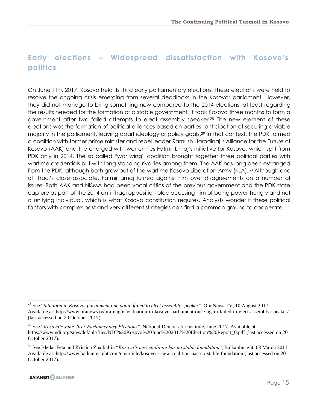# <span id="page-15-0"></span>**Early elections – Widespread dissatisfaction with Kosovo's politics**

On June 11th, 2017, Kosovo held its third early parliamentary elections. These elections were held to resolve the ongoing crisis emerging from several deadlocks in the Kosovar parliament. However, they did not manage to bring something new compared to the 2014 elections, at least regarding the results needed for the formation of a stable government. It took Kosovo three months to form a government after two failed attempts to elect assembly speaker.<sup>28</sup> The new element of these elections was the formation of political alliances based on parties' anticipation of securing a viable majority in the parliament, leaving apart ideology or policy goals.<sup>29</sup> In that context, the PDK formed a coalition with former prime minister and rebel leader Ramush Haradinaj's Alliance for the Future of Kosovo (AAK) and the charged with war crimes Fatmir Limaj's Initiative for Kosovo, which split from PDK only in 2014. The so called "war wing" coalition brought together three political parties with wartime credentials but with long-standing rivalries among them. The AAK has long been estranged from the PDK, although both grew out of the wartime Kosovo Liberation Army (KLA).<sup>30</sup> Although one of Thaçi's close associate, Fatmir Limaj turned against him over disagreements on a number of issues. Both AAK and NISMA had been vocal critics of the previous government and the PDK state capture as part of the 2014 anti-Thaçi opposition bloc accusing him of being power-hungry and not a unifying individual, which is what Kosovo constitution requires. Analysts wonder if these political factors with complex past and very different strategies can find a common ground to cooperate.

<sup>28</sup> See "*Situation in Kosovo, parliament one again failed to elect assembly speaker*", Ora News TV, 10 August 2017. Available at[: http://www.oranews.tv/ora-english/situation-in-kosovo-parliament-once-again-failed-to-elect-assembly-speaker/](http://www.oranews.tv/ora-english/situation-in-kosovo-parliament-once-again-failed-to-elect-assembly-speaker/) (last accessed on 20 October 2017).

<sup>29</sup> See "*Kosovo's June 2017 Parliamentary Elections*", National Democratic Institute, June 2017. Available at: [https://www.ndi.org/sites/default/files/NDI%20Kosovo%20June%202017%20Election%20Report\\_0.pdf](https://www.ndi.org/sites/default/files/NDI%20Kosovo%20June%202017%20Election%20Report_0.pdf) (last accessed on 20 October 2017).

<sup>30</sup> See Bledar Feta and Kristina Zharkalliu "*Kosovo's new coalition has no stable foundation*", BalkanInsight, 08 March 2011. Available at[: http://www.balkaninsight.com/en/article/kosovo-s-new-coalition-has-no-stable-foundation](http://www.balkaninsight.com/en/article/kosovo-s-new-coalition-has-no-stable-foundation) (last accessed on 20 October 2017).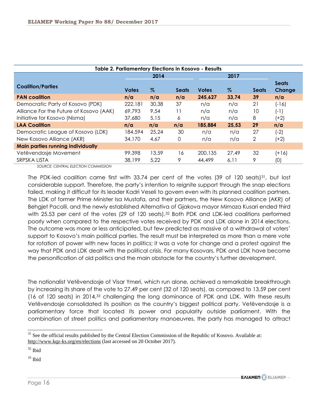| Table 2. Parliamentary Elections in Kosovo - Results |              |       |              |              |       |              |                        |  |  |  |
|------------------------------------------------------|--------------|-------|--------------|--------------|-------|--------------|------------------------|--|--|--|
|                                                      | 2014         |       | 2017         |              |       |              |                        |  |  |  |
| <b>Coalition/Parties</b>                             | <b>Votes</b> | $\%$  | <b>Seats</b> | <b>Votes</b> | $\%$  | <b>Seats</b> | <b>Seats</b><br>Change |  |  |  |
| <b>PAN coalition</b>                                 | n/a          | n/a   | n/a          | 245,627      | 33,74 | 39           | n/a                    |  |  |  |
| Democratic Party of Kosovo (PDK)                     | 222,181      | 30,38 | 37           | n/a          | n/a   | 21           | $(-16)$                |  |  |  |
| Alliance For the Future of Kosovo (AAK)              | 69,793       | 9,54  | 11           | n/a          | n/a   | 10           | $(-1)$                 |  |  |  |
| Initiative for Kosovo (Nisma)                        | 37,680       | 5,15  | 6            | n/a          | n/a   | 8            | (+2)                   |  |  |  |
| <b>LAA Coalition</b>                                 | n/a          | n/a   | n/a          | 185,884      | 25,53 | 29           | n/a                    |  |  |  |
| Democratic League of Kosovo (LDK)                    | 184,594      | 25,24 | 30           | n/a          | n/a   | 27           | $(-2)$                 |  |  |  |
| New Kosovo Alliance (AKR)                            | 34,170       | 4,67  | 0            | n/a          | n/a   | 2            | (+2)                   |  |  |  |
| <b>Main parties running individually</b>             |              |       |              |              |       |              |                        |  |  |  |
| Vetëvendosje Movement                                | 99.398       | 13,59 | 16           | 200,135      | 27,49 | 32           | $(+16)$                |  |  |  |
| SRPSKA LISTA                                         | 38,199       | 5,22  | 9            | 44,499       | 6,11  | 9            | (0)                    |  |  |  |

 *SOURCE: CENTRAL ELECTION COMMISSION*

The PDK-led coalition came first with 33.74 per cent of the votes (39 of 120 seats)<sup>31</sup>, but lost considerable support. Therefore, the party's intention to reignite support through the snap elections failed, making it difficult for its leader Kadri Veseli to govern even with its planned coalition partners. The LDK of former Prime Minister Isa Mustafa, and their partners, the New Kosovo Alliance (AKR) of Behgjet Pacolli, and the newly established Alternativa of Gjakova mayor Mimoza Kusari ended third with 25.53 per cent of the votes (29 of 120 seats).<sup>32</sup> Both PDK and LDK-led coalitions performed poorly when compared to the respective votes received by PDK and LDK alone in 2014 elections. The outcome was more or less anticipated, but few predicted as massive of a withdrawal of voters' support to Kosovo's main political parties. The result must be interpreted as more than a mere vote for rotation of power with new faces in politics; it was a vote for change and a protest against the way that PDK and LDK dealt with the political crisis. For many Kosovars, PDK and LDK have become the personification of old politics and the main obstacle for the country's further development.

The nationalist Vetëvendosje of Visar Ymeri, which run alone, achieved a remarkable breakthrough by increasing its share of the vote to 27.49 per cent (32 of 120 seats), as compared to 13.59 per cent (16 of 120 seats) in 2014,<sup>33</sup> challenging the long dominance of PDK and LDK. With these results Vetëvendosje consolidated its position as the country's biggest political party. Vetëvendosje is a parliamentary force that located its power and popularity outside parliament. With the combination of street politics and parliamentary manoeuvres, the party has managed to attract



 $31$  See the official results published by the Central Election Commission of the Republic of Kosovo. Available at: <http://www.kqz-ks.org/en/elections> (last accessed on 20 October 2017).

 $32$  Ibid

 $33$  Ibid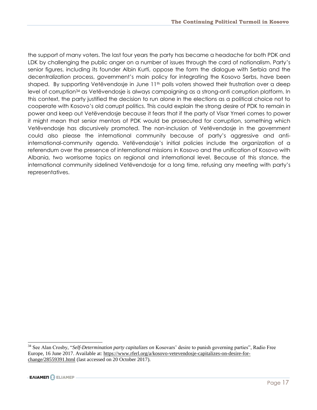the support of many voters. The last four years the party has became a headache for both PDK and LDK by challenging the public anger on a number of issues through the card of nationalism. Party's senior figures, including its founder Albin Kurti, oppose the form the dialogue with Serbia and the decentralization process, government's main policy for integrating the Kosovo Serbs, have been shaped. By supporting Vetëvendosje in June  $11<sup>th</sup>$  polls voters showed their frustration over a deep level of corruption<sup>34</sup> as Vetëvendosje is always campaigning as a strong-anti corruption platform. In this context, the party justified the decision to run alone in the elections as a political choice not to cooperate with Kosovo's old corrupt politics. This could explain the strong desire of PDK to remain in power and keep out Vetëvendosje because it fears that if the party of Visar Ymeri comes to power it might mean that senior mentors of PDK would be prosecuted for corruption, something which Vetëvendosje has discursively promoted. The non-inclusion of Vetëvendosje in the government could also please the international community because of party's aggressive and antiinternational-community agenda. Vetëvendosje's initial policies include the organization of a referendum over the presence of international missions in Kosovo and the unification of Kosovo with Albania, two worrisome topics on regional and international level. Because of this stance, the international community sidelined Vetëvendosje for a long time, refusing any meeting with party's representatives.

<sup>34</sup> See Alan Crosby, "*Self-Determination party capitalizes on* Kosovars' desire to punish governing parties", Radio Free Europe, 16 June 2017. Available at: [https://www.rferl.org/a/kosovo-vetevendosje-capitalizes-on-desire-for](https://www.rferl.org/a/kosovo-vetevendosje-capitalizes-on-desire-for-change/28559391.html)[change/28559391.html](https://www.rferl.org/a/kosovo-vetevendosje-capitalizes-on-desire-for-change/28559391.html) (last accessed on 20 October 2017).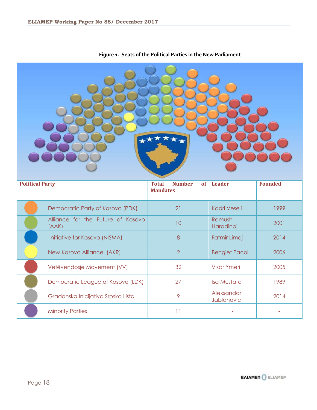| <b>Political Party</b> |                                            | <b>Number</b><br><b>of</b><br><b>Total</b><br><b>Mandates</b> | Leader                   | <b>Founded</b> |  |  |  |  |  |
|------------------------|--------------------------------------------|---------------------------------------------------------------|--------------------------|----------------|--|--|--|--|--|
|                        | Democratic Party of Kosovo (PDK)           | 21                                                            | <b>Kadri Veseli</b>      | 1999           |  |  |  |  |  |
|                        | Alliance for the Future of Kosovo<br>(AAK) | 10                                                            | Ramush<br>Haradinaj      | 2001           |  |  |  |  |  |
|                        | Initiative for Kosovo (NISMA)              | 8                                                             | Fatmir Limaj             | 2014           |  |  |  |  |  |
|                        | New Kosovo Alliance (AKR)                  | $\overline{2}$                                                | <b>Behgjet Pacolli</b>   | 2006           |  |  |  |  |  |
|                        | Vetëvendosje Movement (VV)                 | 32                                                            | <b>Visar Ymeri</b>       | 2005           |  |  |  |  |  |
|                        | Democratic League of Kosovo (LDK)          | 27                                                            | Isa Mustafa              | 1989           |  |  |  |  |  |
|                        |                                            |                                                               |                          |                |  |  |  |  |  |
|                        | Gradanska Inicijativa Srpska Lista         | 9                                                             | Aleksandar<br>Jablanovic | 2014           |  |  |  |  |  |

#### **Figure 1. Seats of the Political Parties in the New Parliament**

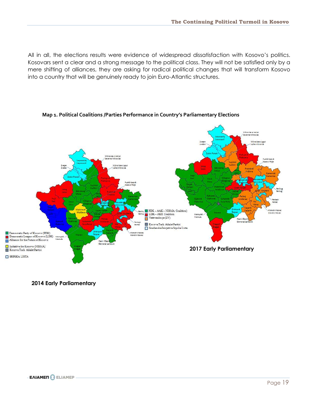All in all, the elections results were evidence of widespread dissatisfaction with Kosovo's politics. Kosovars sent a clear and a strong message to the political class. They will not be satisfied only by a mere shifting of alliances, they are asking for radical political changes that will transform Kosovo into a country that will be genuinely ready to join Euro-Atlantic structures.



#### **Map 1. Political Coalitions /Parties Performance in Country's Parliamentary Elections**

**2014 Early Parliamentary**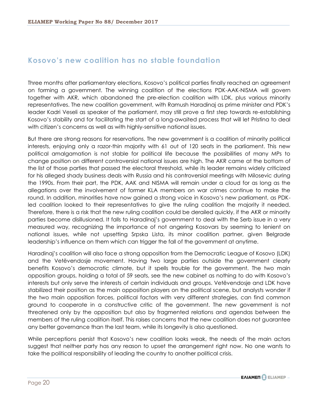#### <span id="page-20-0"></span>**Kosovo's new coalition has no stable foundation**

Three months after parliamentary elections, Kosovo's political parties finally reached an agreement on forming a government. The winning coalition of the elections PDK-AAK-NISMA will govern together with AKR, which abandoned the pre-election coalition with LDK, plus various minority representatives. The new coalition government, with Ramush Haradinaj as prime minister and PDK's leader Kadri Veseli as speaker of the parliament, may still prove a first step towards re-establishing Kosovo's stability and for facilitating the start of a long-awaited process that will let Pristina to deal with citizen's concerns as well as with highly-sensitive national issues.

But there are strong reasons for reservations. The new government is a coalition of minority political interests, enjoying only a razor-thin majority with 61 out of 120 seats in the parliament. This new political amalgamation is not stable for political life because the possibilities of many MPs to change position on different controversial national issues are high. The AKR came at the bottom of the list of those parties that passed the electoral threshold, while its leader remains widely criticized for his alleged shady business deals with Russia and his controversial meetings with Milosevic during the 1990s. From their part, the PDK, AAK and NISMA will remain under a cloud for as long as the allegations over the involvement of former KLA members on war crimes continue to make the round. In addition, minorities have now gained a strong voice in Kosovo's new parliament, as PDKled coalition looked to their representatives to give the ruling coalition the majority it needed. Therefore, there is a risk that the new ruling coalition could be derailed quickly, if the AKR or minority parties become disillusioned. It falls to Haradinaj's government to deal with the Serb issue in a very measured way, recognizing the importance of not angering Kosovars by seeming to lenient on national issues, while not upsetting Srpska Lista, its minor coalition partner, given Belgrade leadership's influence on them which can trigger the fall of the government at anytime.

Haradinaj's coalition will also face a strong opposition from the Democratic League of Kosovo (LDK) and the Vetëvendosje movement. Having two large parties outside the government clearly benefits Kosovo's democratic climate, but it spells trouble for the government. The two main opposition groups, holding a total of 59 seats, see the new cabinet as nothing to do with Kosovo's interests but only serve the interests of certain individuals and groups. Vetëvendosje and LDK have stabilized their position as the main opposition players on the political scene, but analysts wonder if the two main opposition forces, political factors with very different strategies, can find common ground to cooperate in a constructive critic of the government. The new government is not threatened only by the opposition but also by fragmented relations and agendas between the members of the ruling coalition itself. This raises concerns that the new coalition does not guarantee any better governance than the last team, while its longevity is also questioned.

While perceptions persist that Kosovo's new coalition looks weak, the needs of the main actors suggest that neither party has any reason to upset the arrangement right now. No one wants to take the political responsibility of leading the country to another political crisis.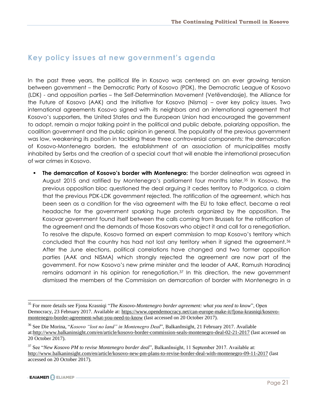#### <span id="page-21-0"></span>**Key policy issues at new government's agenda**

In the past three years, the political life in Kosovo was centered on an ever growing tension between government – the Democratic Party of Kosovo (PDK), the Democratic League of Kosovo (LDK) - and opposition parties – the Self-Determination Movement (Vetëvendosje), the Alliance for the Future of Kosovo (AAK) and the Initiative for Kosovo (Nisma) – over key policy issues. Two international agreements Kosovo signed with its neighbors and an international agreement that Kosovo's supporters, the United States and the European Union had encouraged the government to adopt, remain a major talking point in the political and public debate, polarizing opposition, the coalition government and the public opinion in general. The popularity of the previous government was low, weakening its position in tackling these three controversial components: the demarcation of Kosovo-Montenegro borders, the establishment of an association of municipalities mostly inhabited by Serbs and the creation of a special court that will enable the international prosecution of war crimes in Kosovo.

 **The demarcation of Kosovo's border with Montenegro:** the border delineation was agreed in August 2015 and ratified by Montenegro's parliament four months later.<sup>35</sup> In Kosovo, the previous opposition bloc questioned the deal arguing it cedes territory to Podgorica, a claim that the previous PDK-LDK government rejected. The ratification of the agreement, which has been seen as a condition for the visa agreement with the EU to take effect, became a real headache for the government sparking huge protests organized by the opposition. The Kosovar government found itself between the calls coming from Brussels for the ratification of the agreement and the demands of those Kosovars who object it and call for a renegotiation. To resolve the dispute, Kosovo formed an expert commission to map Kosovo's territory which concluded that the country has had not lost any territory when it signed the agreement.<sup>36</sup> After the June elections, political correlations have changed and two former opposition parties (AAK and NISMA) which strongly rejected the agreement are now part of the government. For now Kosovo's new prime minister and the leader of AAK, Ramush Haradinaj remains adamant in his opinion for renegotiation.<sup>37</sup> In this direction, the new government dismissed the members of the Commission on demarcation of border with Montenegro in a

<sup>35</sup> For more details see Fjona Krasniqi "*The Kosovo-Montenegro border agreement: what you need to know*", Open Democracy, 23 February 2017. Available at: [https://www.opendemocracy.net/can-europe-make-it/fjona-krasniqi/kosovo](https://www.opendemocracy.net/can-europe-make-it/fjona-krasniqi/kosovo-montenegro-border-agreement-what-you-need-to-know)[montenegro-border-agreement-what-you-need-to-know](https://www.opendemocracy.net/can-europe-make-it/fjona-krasniqi/kosovo-montenegro-border-agreement-what-you-need-to-know) (last accessed on 20 October 2017).

<sup>36</sup> See Die Morina, "*Kosovo "lost no land" in Montenegro Deal*", BalkanInsight, 21 February 2017. Available at[:http://www.balkaninsight.com/en/article/kosovo-border-commission-seals-montenegro-deal-02-21-2017](http://www.balkaninsight.com/en/article/kosovo-border-commission-seals-montenegro-deal-02-21-2017) (last accessed on 20 October 2017).

<sup>37</sup> See "*New Kosovo PM to revise Montenegro border deal*", BalkanInsight, 11 September 2017. Available at: <http://www.balkaninsight.com/en/article/kosovo-new-pm-plans-to-revise-border-deal-with-montenegro-09-11-2017> (last accessed on 20 October 2017).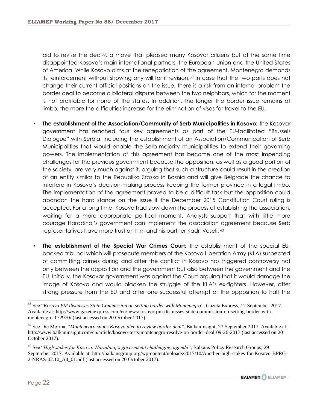bid to revise the deal<sup>38</sup>, a move that pleased many Kosovar citizens but at the same time disappointed Kosovo's main international partners, the European Union and the United States of America. While Kosovo aims at the renegotiation of the agreement, Montenegro demands its reinforcement without showing any will for it revision.<sup>39</sup> In case that the two parts does not change their current official positions on the issue, there is a risk from an internal problem the border deal to become a bilateral dispute between the two neighbors, which for the moment is not profitable for none of the states. In addition, the longer the border issue remains at limbo, the more the difficulties increase for the elimination of visas for travel to the EU.

- **The establishment of the Association/Community of Serb Municipalities in Kosovo:** the Kosovar government has reached four key agreements as part of the EU-facilitated "Brussels Dialogue" with Serbia, including the establishment of an Association/Communication of Serb Municipalities that would enable the Serb-majority municipalities to extend their governing powers. The implementation of this agreement has become one of the most impending challenges for the previous government because the opposition, as well as a good portion of the society, are very much against it, arguing that such a structure could result in the creation of an entity similar to the Republika Srpska in Bosnia and will give Belgrade the chance to interfere in Kosovo's decision-making process keeping the former province in a legal limbo. The implementation of the agreement proved to be a difficult task but the opposition could abandon the hard stance on the issue if the December 2015 Constitution Court ruling is accepted. For a long time, Kosovo had slow down the process of establishing the association, waiting for a more appropriate political moment. Analysts support that with little more courage Haradinaj's government can implement the association agreement because Serb representatives have more trust on him and his partner Kadri Veseli. <sup>40</sup>
- **The establishment of the Special War Crimes Court:** the establishment of the special EUbacked tribunal which will prosecute members of the Kosovo Liberation Army (KLA) suspected of committing crimes during and after the conflict in Kosovo has triggered controversy not only between the opposition and the government but also between the government and the EU. Initially, the Kosovar government was against the Court arguing that it would damage the image of Kosovo and would blacken the struggle of the KLA's ex-fighters. However, after strong pressure from the EU and after one successful attempt of the opposition to halt the

<sup>38</sup> See "*Kosovo PM dismisses State Commission on setting border with Montenegro*", Gazeta Express, 12 September 2017. Available at[: http://www.gazetaexpress.com/en/news/kosovo-pm-dismisses-state-commission-on-setting-border-with](http://www.gazetaexpress.com/en/news/kosovo-pm-dismisses-state-commission-on-setting-border-with-montenegro-172970/)[montenegro-172970/](http://www.gazetaexpress.com/en/news/kosovo-pm-dismisses-state-commission-on-setting-border-with-montenegro-172970/) (last accessed on 20 October 2017).

<sup>39</sup> See Die Morina, "*Montenegro snubs Kosovo plea to review border deal*", BalkanInsight, 27 September 2017. Available at: <http://www.balkaninsight.com/en/article/kosovo-tests-montenegro-resolve-on-border-deal-09-26-2017> (last accessed on 20 October 2017).

<sup>40</sup> See "*High stakes for Kosovo: Haradinaj's government challenging agenda*", Balkans Policy Research Groups, 29 September 2017. Available at: [http://balkansgroup.org/wp-content/uploads/2017/10/Another-high-stakes-for-Kosovo-BPRG-](http://balkansgroup.org/wp-content/uploads/2017/10/Another-high-stakes-for-Kosovo-BPRG-2-NRAS-02.10_A4_01.pdf)[2-NRAS-02.10\\_A4\\_01.pdf](http://balkansgroup.org/wp-content/uploads/2017/10/Another-high-stakes-for-Kosovo-BPRG-2-NRAS-02.10_A4_01.pdf) (last accessed on 20 October 2017).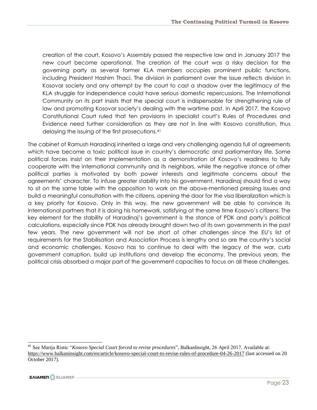creation of the court, Kosovo's Assembly passed the respective law and in January 2017 the new court become operational. The creation of the court was a risky decision for the governing party as several former KLA members occupies prominent public functions, including President Hashim Thaci. The division in parliament over the issue reflects division in Kosovar society and any attempt by the court to cast a shadow over the legitimacy of the KLA struggle for independence could have serious domestic repercussions. The International Community on its part insists that the special court is indispensable for strengthening rule of law and promoting Kosovar society's dealing with the wartime past. In April 2017, the Kosovo Constitutional Court ruled that ten provisions in specialist court's Rules of Procedures and Evidence need further consideration as they are not in line with Kosovo constitution, thus delaying the issuing of the first prosecutions.<sup>41</sup>

The cabinet of Ramush Haradinaj inherited a large and very challenging agenda full of agreements which have become a toxic political issue in country's democratic and parliamentary life. Some political forces insist on their implementation as a demonstration of Kosovo's readiness to fully cooperate with the international community and its neighbors, while the negative stance of other political parties is motivated by both power interests and legitimate concerns about the agreements' character. To infuse greater stability into his government, Haradinaj should find a way to sit on the same table with the opposition to work on the above-mentioned pressing issues and build a meaningful consultation with the citizens, opening the door for the visa liberalization which is a key priority for Kosovo. Only in this way, the new government will be able to convince its international partners that it is doing his homework, satisfying at the same time Kosovo's citizens. The key element for the stability of Haradinaj's government is the stance of PDK and party's political calculations, especially since PDK has already brought down two of its own governments in the past few years. The new government will not be short of other challenges since the EU's list of requirements for the Stabilisation and Association Process is lengthy and so are the country's social and economic challenges. Kosovo has to continue to deal with the legacy of the war, curb government corruption, build up institutions and develop the economy. The previous years, the political crisis absorbed a major part of the government capacities to focus on all these challenges.

<span id="page-23-0"></span><sup>41</sup> See Marija Ristic "*Kosovo Special Court forced to revise procedures*", BalkanInsight, 26 April 2017. Available at: <https://www.balkaninsight.com/en/article/kosovo-special-court-to-revise-rules-of-procedure-04-26-2017> (last accessed on 20 October 2017).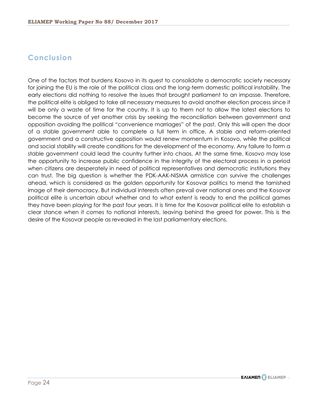#### **Conclusion**

<span id="page-24-0"></span>One of the factors that burdens Kosovo in its quest to consolidate a democratic society necessary for joining the EU is the role of the political class and the long-term domestic political instability. The early elections did nothing to resolve the issues that brought parliament to an impasse. Therefore, the political elite is obliged to take all necessary measures to avoid another election process since it will be only a waste of time for the country. It is up to them not to allow the latest elections to become the source of yet another crisis by seeking the reconciliation between government and opposition avoiding the political "convenience marriages" of the past. Only this will open the door of a stable government able to complete a full term in office. A stable and reform-oriented government and a constructive opposition would renew momentum in Kosovo, while the political and social stability will create conditions for the development of the economy. Any failure to form a stable government could lead the country further into chaos. At the same time, Kosovo may lose the opportunity to increase public confidence in the integrity of the electoral process in a period when citizens are desperately in need of political representatives and democratic institutions they can trust. The big question is whether the PDK-AAK-NISMA armistice can survive the challenges ahead, which is considered as the golden opportunity for Kosovar politics to mend the tarnished image of their democracy. But individual interests often prevail over national ones and the Kosovar political elite is uncertain about whether and to what extent is ready to end the political games they have been playing for the past four years. It is time for the Kosovar political elite to establish a clear stance when it comes to national interests, leaving behind the greed for power. This is the desire of the Kosovar people as revealed in the last parliamentary elections.